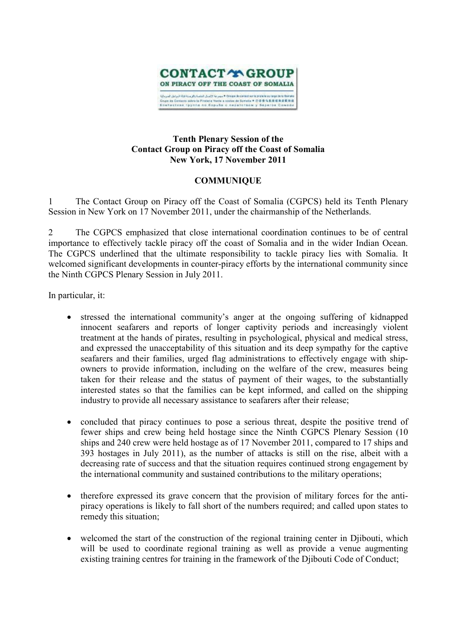

## **Tenth Plenary Session of the Contact Group on Piracy off the Coast of Somalia New York, 17 November 2011**

## **COMMUNIQUE**

1 The Contact Group on Piracy off the Coast of Somalia (CGPCS) held its Tenth Plenary Session in New York on 17 November 2011, under the chairmanship of the Netherlands.

2 The CGPCS emphasized that close international coordination continues to be of central importance to effectively tackle piracy off the coast of Somalia and in the wider Indian Ocean. The CGPCS underlined that the ultimate responsibility to tackle piracy lies with Somalia. It welcomed significant developments in counter-piracy efforts by the international community since the Ninth CGPCS Plenary Session in July 2011.

In particular, it:

- stressed the international community's anger at the ongoing suffering of kidnapped innocent seafarers and reports of longer captivity periods and increasingly violent treatment at the hands of pirates, resulting in psychological, physical and medical stress, and expressed the unacceptability of this situation and its deep sympathy for the captive seafarers and their families, urged flag administrations to effectively engage with shipowners to provide information, including on the welfare of the crew, measures being taken for their release and the status of payment of their wages, to the substantially interested states so that the families can be kept informed, and called on the shipping industry to provide all necessary assistance to seafarers after their release;
- concluded that piracy continues to pose a serious threat, despite the positive trend of fewer ships and crew being held hostage since the Ninth CGPCS Plenary Session (10 ships and 240 crew were held hostage as of 17 November 2011, compared to 17 ships and 393 hostages in July 2011), as the number of attacks is still on the rise, albeit with a decreasing rate of success and that the situation requires continued strong engagement by the international community and sustained contributions to the military operations;
- therefore expressed its grave concern that the provision of military forces for the antipiracy operations is likely to fall short of the numbers required; and called upon states to remedy this situation;
- welcomed the start of the construction of the regional training center in Djibouti, which will be used to coordinate regional training as well as provide a venue augmenting existing training centres for training in the framework of the Djibouti Code of Conduct;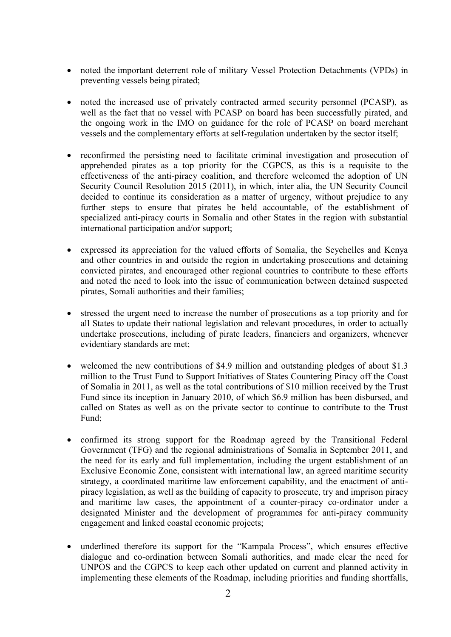- noted the important deterrent role of military Vessel Protection Detachments (VPDs) in preventing vessels being pirated;
- noted the increased use of privately contracted armed security personnel (PCASP), as well as the fact that no vessel with PCASP on board has been successfully pirated, and the ongoing work in the IMO on guidance for the role of PCASP on board merchant vessels and the complementary efforts at self-regulation undertaken by the sector itself;
- reconfirmed the persisting need to facilitate criminal investigation and prosecution of apprehended pirates as a top priority for the CGPCS, as this is a requisite to the effectiveness of the anti-piracy coalition, and therefore welcomed the adoption of UN Security Council Resolution 2015 (2011), in which, inter alia, the UN Security Council decided to continue its consideration as a matter of urgency, without prejudice to any further steps to ensure that pirates be held accountable, of the establishment of specialized anti-piracy courts in Somalia and other States in the region with substantial international participation and/or support;
- expressed its appreciation for the valued efforts of Somalia, the Seychelles and Kenya and other countries in and outside the region in undertaking prosecutions and detaining convicted pirates, and encouraged other regional countries to contribute to these efforts and noted the need to look into the issue of communication between detained suspected pirates, Somali authorities and their families;
- stressed the urgent need to increase the number of prosecutions as a top priority and for all States to update their national legislation and relevant procedures, in order to actually undertake prosecutions, including of pirate leaders, financiers and organizers, whenever evidentiary standards are met;
- welcomed the new contributions of \$4.9 million and outstanding pledges of about \$1.3 million to the Trust Fund to Support Initiatives of States Countering Piracy off the Coast of Somalia in 2011, as well as the total contributions of \$10 million received by the Trust Fund since its inception in January 2010, of which \$6.9 million has been disbursed, and called on States as well as on the private sector to continue to contribute to the Trust Fund;
- confirmed its strong support for the Roadmap agreed by the Transitional Federal Government (TFG) and the regional administrations of Somalia in September 2011, and the need for its early and full implementation, including the urgent establishment of an Exclusive Economic Zone, consistent with international law, an agreed maritime security strategy, a coordinated maritime law enforcement capability, and the enactment of antipiracy legislation, as well as the building of capacity to prosecute, try and imprison piracy and maritime law cases, the appointment of a counter-piracy co-ordinator under a designated Minister and the development of programmes for anti-piracy community engagement and linked coastal economic projects;
- underlined therefore its support for the "Kampala Process", which ensures effective dialogue and co-ordination between Somali authorities, and made clear the need for UNPOS and the CGPCS to keep each other updated on current and planned activity in implementing these elements of the Roadmap, including priorities and funding shortfalls,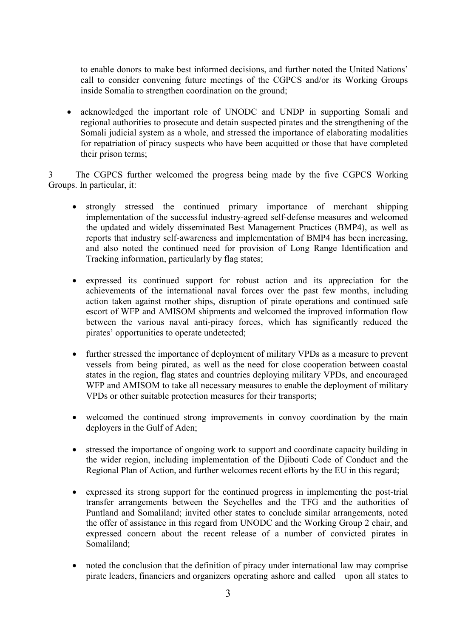to enable donors to make best informed decisions, and further noted the United Nations' call to consider convening future meetings of the CGPCS and/or its Working Groups inside Somalia to strengthen coordination on the ground;

• acknowledged the important role of UNODC and UNDP in supporting Somali and regional authorities to prosecute and detain suspected pirates and the strengthening of the Somali judicial system as a whole, and stressed the importance of elaborating modalities for repatriation of piracy suspects who have been acquitted or those that have completed their prison terms;

3 The CGPCS further welcomed the progress being made by the five CGPCS Working Groups. In particular, it:

- strongly stressed the continued primary importance of merchant shipping implementation of the successful industry-agreed self-defense measures and welcomed the updated and widely disseminated Best Management Practices (BMP4), as well as reports that industry self-awareness and implementation of BMP4 has been increasing, and also noted the continued need for provision of Long Range Identification and Tracking information, particularly by flag states;
- expressed its continued support for robust action and its appreciation for the achievements of the international naval forces over the past few months, including action taken against mother ships, disruption of pirate operations and continued safe escort of WFP and AMISOM shipments and welcomed the improved information flow between the various naval anti-piracy forces, which has significantly reduced the pirates' opportunities to operate undetected;
- further stressed the importance of deployment of military VPDs as a measure to prevent vessels from being pirated, as well as the need for close cooperation between coastal states in the region, flag states and countries deploying military VPDs, and encouraged WFP and AMISOM to take all necessary measures to enable the deployment of military VPDs or other suitable protection measures for their transports;
- welcomed the continued strong improvements in convoy coordination by the main deployers in the Gulf of Aden;
- stressed the importance of ongoing work to support and coordinate capacity building in the wider region, including implementation of the Djibouti Code of Conduct and the Regional Plan of Action, and further welcomes recent efforts by the EU in this regard;
- expressed its strong support for the continued progress in implementing the post-trial transfer arrangements between the Seychelles and the TFG and the authorities of Puntland and Somaliland; invited other states to conclude similar arrangements, noted the offer of assistance in this regard from UNODC and the Working Group 2 chair, and expressed concern about the recent release of a number of convicted pirates in Somaliland;
- noted the conclusion that the definition of piracy under international law may comprise pirate leaders, financiers and organizers operating ashore and called upon all states to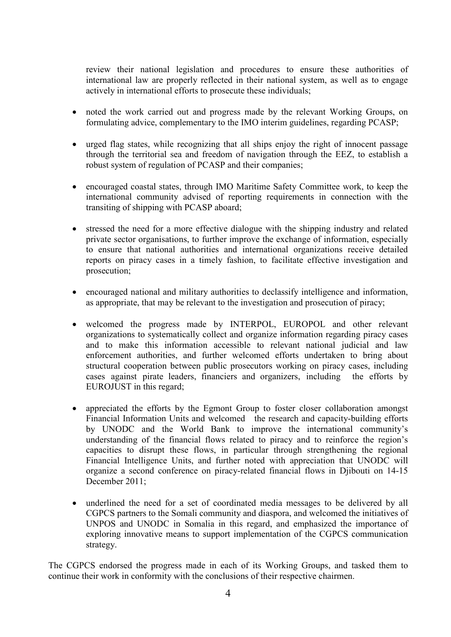review their national legislation and procedures to ensure these authorities of international law are properly reflected in their national system, as well as to engage actively in international efforts to prosecute these individuals;

- noted the work carried out and progress made by the relevant Working Groups, on formulating advice, complementary to the IMO interim guidelines, regarding PCASP;
- urged flag states, while recognizing that all ships enjoy the right of innocent passage through the territorial sea and freedom of navigation through the EEZ, to establish a robust system of regulation of PCASP and their companies;
- encouraged coastal states, through IMO Maritime Safety Committee work, to keep the international community advised of reporting requirements in connection with the transiting of shipping with PCASP aboard;
- stressed the need for a more effective dialogue with the shipping industry and related private sector organisations, to further improve the exchange of information, especially to ensure that national authorities and international organizations receive detailed reports on piracy cases in a timely fashion, to facilitate effective investigation and prosecution;
- encouraged national and military authorities to declassify intelligence and information, as appropriate, that may be relevant to the investigation and prosecution of piracy;
- welcomed the progress made by INTERPOL, EUROPOL and other relevant organizations to systematically collect and organize information regarding piracy cases and to make this information accessible to relevant national judicial and law enforcement authorities, and further welcomed efforts undertaken to bring about structural cooperation between public prosecutors working on piracy cases, including cases against pirate leaders, financiers and organizers, including the efforts by EUROJUST in this regard;
- appreciated the efforts by the Egmont Group to foster closer collaboration amongst Financial Information Units and welcomed the research and capacity-building efforts by UNODC and the World Bank to improve the international community's understanding of the financial flows related to piracy and to reinforce the region's capacities to disrupt these flows, in particular through strengthening the regional Financial Intelligence Units, and further noted with appreciation that UNODC will organize a second conference on piracy-related financial flows in Djibouti on 14-15 December 2011:
- underlined the need for a set of coordinated media messages to be delivered by all CGPCS partners to the Somali community and diaspora, and welcomed the initiatives of UNPOS and UNODC in Somalia in this regard, and emphasized the importance of exploring innovative means to support implementation of the CGPCS communication strategy.

The CGPCS endorsed the progress made in each of its Working Groups, and tasked them to continue their work in conformity with the conclusions of their respective chairmen.